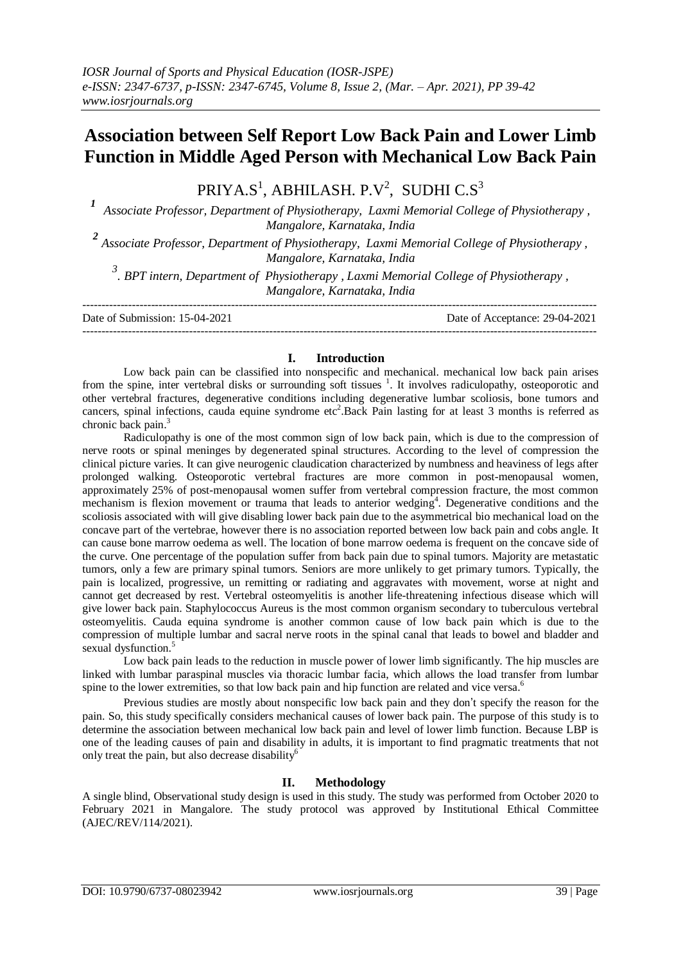## **Association between Self Report Low Back Pain and Lower Limb Function in Middle Aged Person with Mechanical Low Back Pain**

PRIYA.S $^{\rm l}$ , ABHILASH. P.V $^{\rm 2}$ , SUDHI C.S $^{\rm 3}$ 

*<sup>1</sup>Associate Professor, Department of Physiotherapy, Laxmi Memorial College of Physiotherapy , Mangalore, Karnataka, India*

*2 Associate Professor, Department of Physiotherapy, Laxmi Memorial College of Physiotherapy , Mangalore, Karnataka, India*

*3 . BPT intern, Department of Physiotherapy , Laxmi Memorial College of Physiotherapy , Mangalore, Karnataka, India*

--------------------------------------------------------------------------------------------------------------------------------------- Date of Submission: 15-04-2021 Date of Acceptance: 29-04-2021 ---------------------------------------------------------------------------------------------------------------------------------------

### **I. Introduction**

Low back pain can be classified into nonspecific and mechanical. mechanical low back pain arises from the spine, inter vertebral disks or surrounding soft tissues <sup>1</sup>. It involves radiculopathy, osteoporotic and other vertebral fractures, degenerative conditions including degenerative lumbar scoliosis, bone tumors and cancers, spinal infections, cauda equine syndrome etc<sup>2</sup>. Back Pain lasting for at least 3 months is referred as chronic back pain.<sup>3</sup>

Radiculopathy is one of the most common sign of low back pain, which is due to the compression of nerve roots or spinal meninges by degenerated spinal structures. According to the level of compression the clinical picture varies. It can give neurogenic claudication characterized by numbness and heaviness of legs after prolonged walking. Osteoporotic vertebral fractures are more common in post-menopausal women, approximately 25% of post-menopausal women suffer from vertebral compression fracture, the most common mechanism is flexion movement or trauma that leads to anterior wedging<sup>4</sup>. Degenerative conditions and the scoliosis associated with will give disabling lower back pain due to the asymmetrical bio mechanical load on the concave part of the vertebrae, however there is no association reported between low back pain and cobs angle. It can cause bone marrow oedema as well. The location of bone marrow oedema is frequent on the concave side of the curve. One percentage of the population suffer from back pain due to spinal tumors. Majority are metastatic tumors, only a few are primary spinal tumors. Seniors are more unlikely to get primary tumors. Typically, the pain is localized, progressive, un remitting or radiating and aggravates with movement, worse at night and cannot get decreased by rest. Vertebral osteomyelitis is another life-threatening infectious disease which will give lower back pain. Staphylococcus Aureus is the most common organism secondary to tuberculous vertebral osteomyelitis. Cauda equina syndrome is another common cause of low back pain which is due to the compression of multiple lumbar and sacral nerve roots in the spinal canal that leads to bowel and bladder and sexual dysfunction.<sup>5</sup>

Low back pain leads to the reduction in muscle power of lower limb significantly. The hip muscles are linked with lumbar paraspinal muscles via thoracic lumbar facia, which allows the load transfer from lumbar spine to the lower extremities, so that low back pain and hip function are related and vice versa.<sup>6</sup>

Previous studies are mostly about nonspecific low back pain and they don't specify the reason for the pain. So, this study specifically considers mechanical causes of lower back pain. The purpose of this study is to determine the association between mechanical low back pain and level of lower limb function. Because LBP is one of the leading causes of pain and disability in adults, it is important to find pragmatic treatments that not only treat the pain, but also decrease disability $<sup>6</sup>$ </sup>

### **II. Methodology**

A single blind, Observational study design is used in this study. The study was performed from October 2020 to February 2021 in Mangalore. The study protocol was approved by Institutional Ethical Committee (AJEC/REV/114/2021).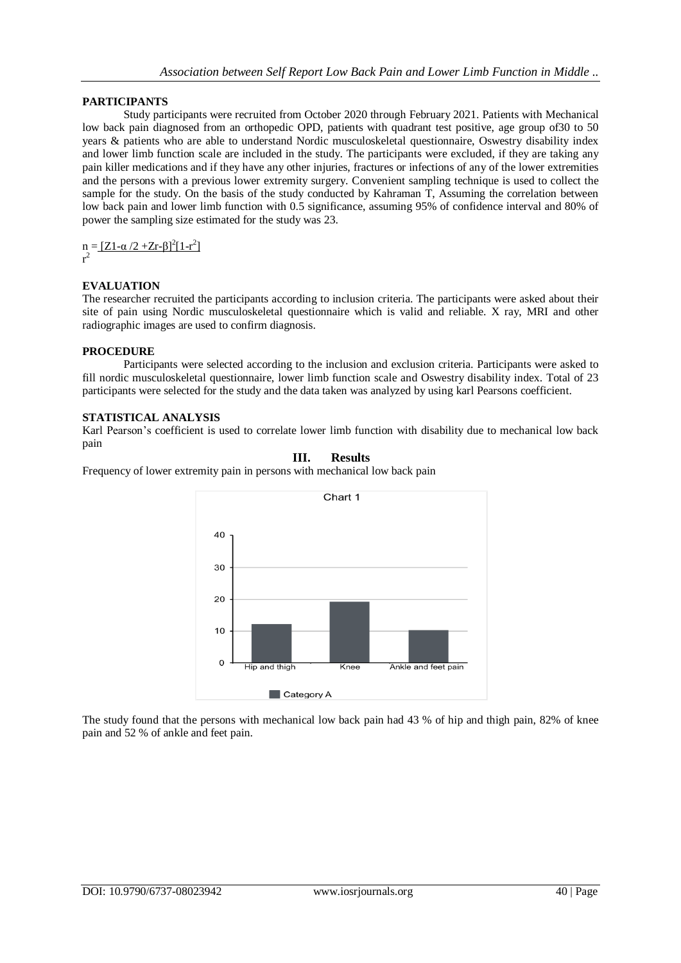## **PARTICIPANTS**

Study participants were recruited from October 2020 through February 2021. Patients with Mechanical low back pain diagnosed from an orthopedic OPD, patients with quadrant test positive, age group of30 to 50 years & patients who are able to understand Nordic musculoskeletal questionnaire, Oswestry disability index and lower limb function scale are included in the study. The participants were excluded, if they are taking any pain killer medications and if they have any other injuries, fractures or infections of any of the lower extremities and the persons with a previous lower extremity surgery. Convenient sampling technique is used to collect the sample for the study. On the basis of the study conducted by Kahraman T, Assuming the correlation between low back pain and lower limb function with 0.5 significance, assuming 95% of confidence interval and 80% of power the sampling size estimated for the study was 23.

 $n = \frac{[Z_1 - \alpha / 2 + Z_r - \beta]^2 [1 - r^2]}{[1 - r^2]}$ r 2

## **EVALUATION**

The researcher recruited the participants according to inclusion criteria. The participants were asked about their site of pain using Nordic musculoskeletal questionnaire which is valid and reliable. X ray, MRI and other radiographic images are used to confirm diagnosis.

### **PROCEDURE**

Participants were selected according to the inclusion and exclusion criteria. Participants were asked to fill nordic musculoskeletal questionnaire, lower limb function scale and Oswestry disability index. Total of 23 participants were selected for the study and the data taken was analyzed by using karl Pearsons coefficient.

## **STATISTICAL ANALYSIS**

Karl Pearson's coefficient is used to correlate lower limb function with disability due to mechanical low back pain

**III. Results**

# Chart 1 40 30 20  $10$  $\Omega$ Hip and thigh Knee Ankle and feet pain Category A

Frequency of lower extremity pain in persons with mechanical low back pain

The study found that the persons with mechanical low back pain had 43 % of hip and thigh pain, 82% of knee pain and 52 % of ankle and feet pain.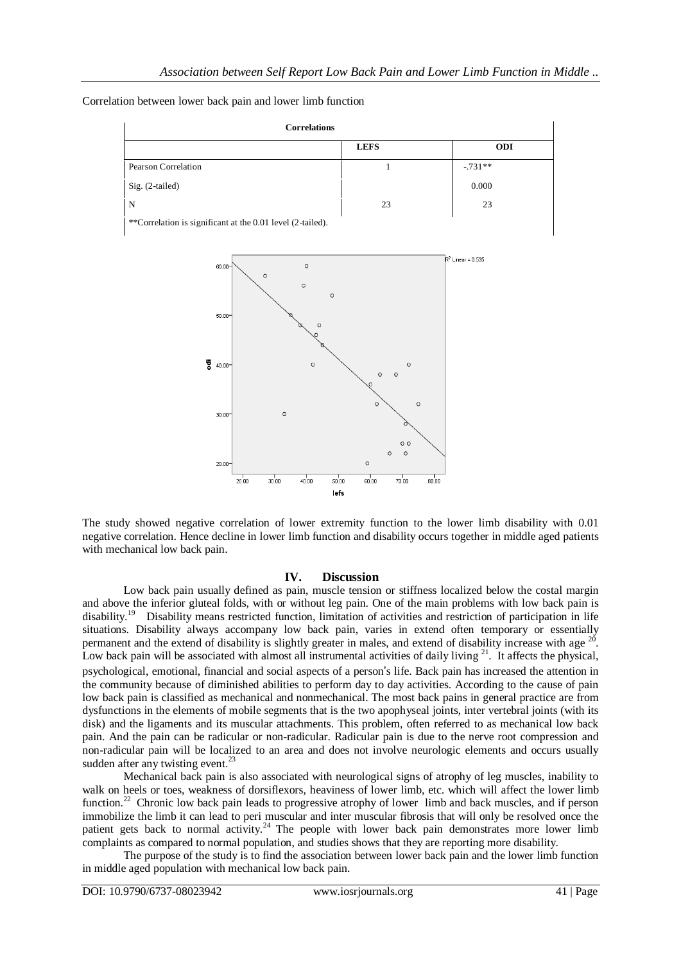| <b>Correlations</b>                                        |             |            |
|------------------------------------------------------------|-------------|------------|
|                                                            | <b>LEFS</b> | <b>ODI</b> |
| Pearson Correlation                                        |             | $-.731**$  |
| Sig. (2-tailed)                                            |             | 0.000      |
| N                                                          | 23          | 23         |
| **Correlation is significant at the 0.01 level (2-tailed). |             |            |





The study showed negative correlation of lower extremity function to the lower limb disability with 0.01 negative correlation. Hence decline in lower limb function and disability occurs together in middle aged patients with mechanical low back pain.

### **IV. Discussion**

Low back pain usually defined as pain, muscle tension or stiffness localized below the costal margin and above the inferior gluteal folds, with or without leg pain. One of the main problems with low back pain is disability.<sup>1</sup>  $\degree$  Disability means restricted function, limitation of activities and restriction of participation in life situations. Disability always accompany low back pain, varies in extend often temporary or essentially permanent and the extend of disability is slightly greater in males, and extend of disability increase with age  $^{20}$ . Low back pain will be associated with almost all instrumental activities of daily living  $21$ . It affects the physical, psychological, emotional, financial and social aspects of a person's life. Back pain has increased the attention in the community because of diminished abilities to perform day to day activities. According to the cause of pain low back pain is classified as mechanical and nonmechanical. The most back pains in general practice are from dysfunctions in the elements of mobile segments that is the two apophyseal joints, inter vertebral joints (with its disk) and the ligaments and its muscular attachments. This problem, often referred to as mechanical low back pain. And the pain can be radicular or non-radicular. Radicular pain is due to the nerve root compression and non-radicular pain will be localized to an area and does not involve neurologic elements and occurs usually sudden after any twisting event.<sup>23</sup>

Mechanical back pain is also associated with neurological signs of atrophy of leg muscles, inability to walk on heels or toes, weakness of dorsiflexors, heaviness of lower limb, etc. which will affect the lower limb function.<sup>22</sup> Chronic low back pain leads to progressive atrophy of lower limb and back muscles, and if person immobilize the limb it can lead to peri muscular and inter muscular fibrosis that will only be resolved once the patient gets back to normal activity.<sup>24</sup> The people with lower back pain demonstrates more lower limb complaints as compared to normal population, and studies shows that they are reporting more disability.

The purpose of the study is to find the association between lower back pain and the lower limb function in middle aged population with mechanical low back pain.